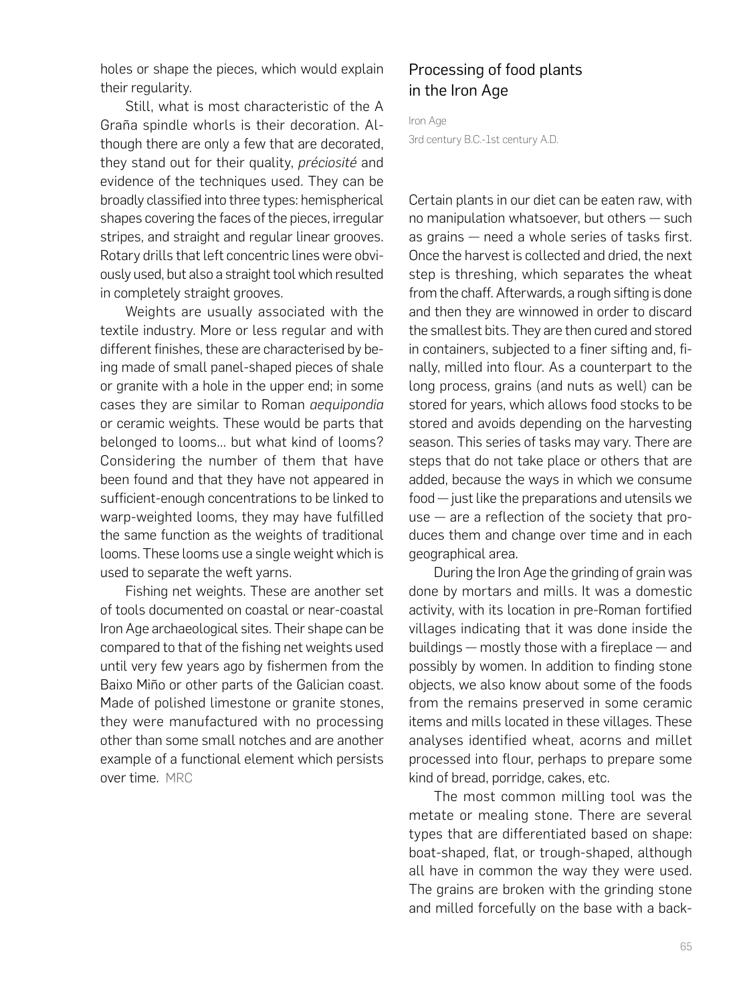## Processing of food plants in the Iron Age

Iron Age 3rd century B.C.-1st century A.D.

Certain plants in our diet can be eaten raw, with no manipulation whatsoever, but others — such as grains  $-$  need a whole series of tasks first. Once the harvest is collected and dried, the next step is threshing, which separates the wheat from the chaff. Afterwards, a rough sifting is done and then they are winnowed in order to discard the smallest bits. They are then cured and stored in containers, subjected to a finer sifting and, finally, milled into flour. As a counterpart to the long process, grains (and nuts as well) can be stored for years, which allows food stocks to be stored and avoids depending on the harvesting season. This series of tasks may vary. There are steps that do not take place or others that are added, because the ways in which we consume food — just like the preparations and utensils we  $use - are a reflection of the society that pro$ duces them and change over time and in each geographical area.

During the Iron Age the grinding of grain was done by mortars and mills. It was a domestic activity, with its location in pre-Roman fortified villages indicating that it was done inside the buildings  $-$  mostly those with a fireplace  $-$  and possibly by women. In addition to finding stone objects, we also know about some of the foods from the remains preserved in some ceramic items and mills located in these villages. These analyses identified wheat, acorns and millet processed into flour, perhaps to prepare some kind of bread, porridge, cakes, etc.

The most common milling tool was the metate or mealing stone. There are several types that are differentiated based on shape: boat-shaped, flat, or trough-shaped, although all have in common the way they were used. The grains are broken with the grinding stone and milled forcefully on the base with a back